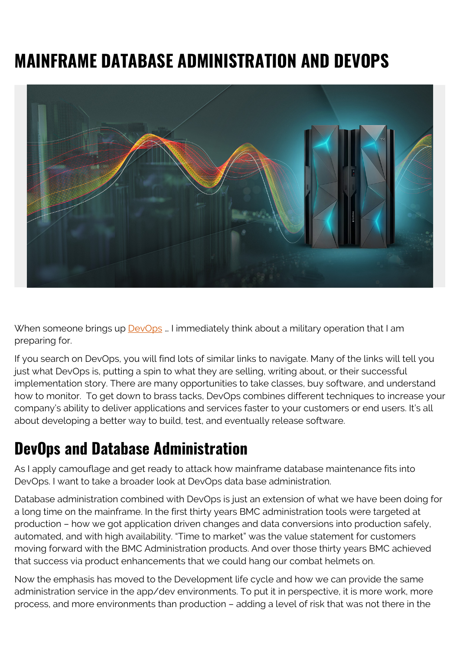## **MAINFRAME DATABASE ADMINISTRATION AND DEVOPS**



When someone brings up **[DevOps](https://blogs.bmc.com/blogs/devops-basics-introduction/)** ... I immediately think about a military operation that I am preparing for.

If you search on DevOps, you will find lots of similar links to navigate. Many of the links will tell you just what DevOps is, putting a spin to what they are selling, writing about, or their successful implementation story. There are many opportunities to take classes, buy software, and understand how to monitor. To get down to brass tacks, DevOps combines different techniques to increase your company's ability to deliver applications and services faster to your customers or end users. It's all about developing a better way to build, test, and eventually release software.

## **DevOps and Database Administration**

As I apply camouflage and get ready to attack how mainframe database maintenance fits into DevOps. I want to take a broader look at DevOps data base administration.

Database administration combined with DevOps is just an extension of what we have been doing for a long time on the mainframe. In the first thirty years BMC administration tools were targeted at production – how we got application driven changes and data conversions into production safely, automated, and with high availability. "Time to market" was the value statement for customers moving forward with the BMC Administration products. And over those thirty years BMC achieved that success via product enhancements that we could hang our combat helmets on.

Now the emphasis has moved to the Development life cycle and how we can provide the same administration service in the app/dev environments. To put it in perspective, it is more work, more process, and more environments than production – adding a level of risk that was not there in the